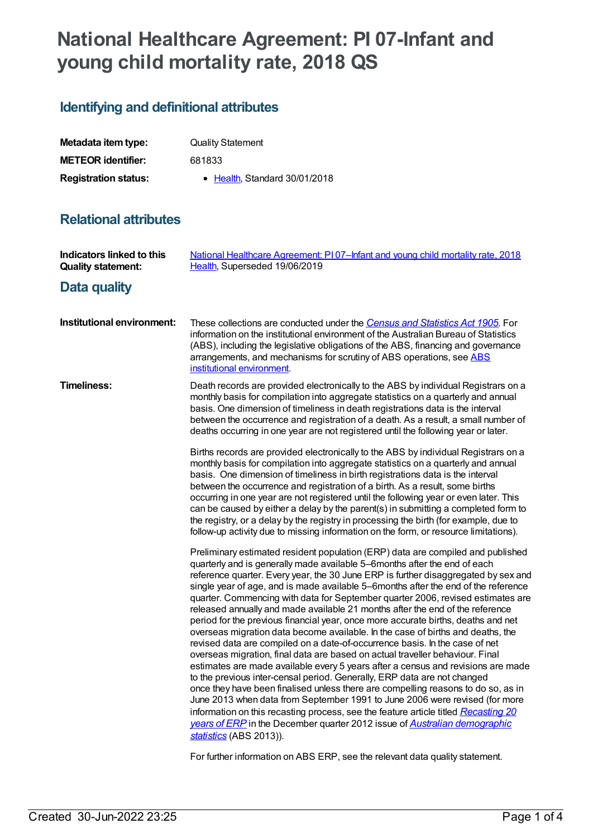# **National Healthcare Agreement: PI 07-Infant and young child mortality rate, 2018 QS**

## **Identifying and definitional attributes**

| Metadata item type:         | <b>Quality Statement</b>      |
|-----------------------------|-------------------------------|
| <b>METEOR identifier:</b>   | 681833                        |
| <b>Registration status:</b> | • Health, Standard 30/01/2018 |

### **Relational attributes**

| <b>Indicators linked to this</b><br><b>Quality statement:</b> | National Healthcare Agreement: P107-Infant and young child mortality rate, 2018<br>Health, Superseded 19/06/2019                                                                                                                                                                                                                                                                                                                                                                                                                                                                                                                                                                                                                                                                                                                                                                                                                                                                                                                                                                                                                                                                                                                                                                                                                                                                       |
|---------------------------------------------------------------|----------------------------------------------------------------------------------------------------------------------------------------------------------------------------------------------------------------------------------------------------------------------------------------------------------------------------------------------------------------------------------------------------------------------------------------------------------------------------------------------------------------------------------------------------------------------------------------------------------------------------------------------------------------------------------------------------------------------------------------------------------------------------------------------------------------------------------------------------------------------------------------------------------------------------------------------------------------------------------------------------------------------------------------------------------------------------------------------------------------------------------------------------------------------------------------------------------------------------------------------------------------------------------------------------------------------------------------------------------------------------------------|
| Data quality                                                  |                                                                                                                                                                                                                                                                                                                                                                                                                                                                                                                                                                                                                                                                                                                                                                                                                                                                                                                                                                                                                                                                                                                                                                                                                                                                                                                                                                                        |
| Institutional environment:                                    | These collections are conducted under the Census and Statistics Act 1905. For<br>information on the institutional environment of the Australian Bureau of Statistics<br>(ABS), including the legislative obligations of the ABS, financing and governance<br>arrangements, and mechanisms for scrutiny of ABS operations, see ABS<br>institutional environment.                                                                                                                                                                                                                                                                                                                                                                                                                                                                                                                                                                                                                                                                                                                                                                                                                                                                                                                                                                                                                        |
| <b>Timeliness:</b>                                            | Death records are provided electronically to the ABS by individual Registrars on a<br>monthly basis for compilation into aggregate statistics on a quarterly and annual<br>basis. One dimension of timeliness in death registrations data is the interval<br>between the occurrence and registration of a death. As a result, a small number of<br>deaths occurring in one year are not registered until the following year or later.                                                                                                                                                                                                                                                                                                                                                                                                                                                                                                                                                                                                                                                                                                                                                                                                                                                                                                                                                  |
|                                                               | Births records are provided electronically to the ABS by individual Registrars on a<br>monthly basis for compilation into aggregate statistics on a quarterly and annual<br>basis. One dimension of timeliness in birth registrations data is the interval<br>between the occurrence and registration of a birth. As a result, some births<br>occurring in one year are not registered until the following year or even later. This<br>can be caused by either a delay by the parent(s) in submitting a completed form to<br>the registry, or a delay by the registry in processing the birth (for example, due to<br>follow-up activity due to missing information on the form, or resource limitations).                                                                                                                                                                                                                                                                                                                                                                                                                                                                                                                                                                                                                                                                             |
|                                                               | Preliminary estimated resident population (ERP) data are compiled and published<br>quarterly and is generally made available 5-6months after the end of each<br>reference quarter. Every year, the 30 June ERP is further disaggregated by sex and<br>single year of age, and is made available 5-6months after the end of the reference<br>quarter. Commencing with data for September quarter 2006, revised estimates are<br>released annually and made available 21 months after the end of the reference<br>period for the previous financial year, once more accurate births, deaths and net<br>overseas migration data become available. In the case of births and deaths, the<br>revised data are compiled on a date-of-occurrence basis. In the case of net<br>overseas migration, final data are based on actual traveller behaviour. Final<br>estimates are made available every 5 years after a census and revisions are made<br>to the previous inter-censal period. Generally, ERP data are not changed<br>once they have been finalised unless there are compelling reasons to do so, as in<br>June 2013 when data from September 1991 to June 2006 were revised (for more<br>information on this recasting process, see the feature article titled Recasting 20<br>years of ERP in the December quarter 2012 issue of Australian demographic<br>statistics (ABS 2013)). |

For further information on ABS ERP, see the relevant data quality statement.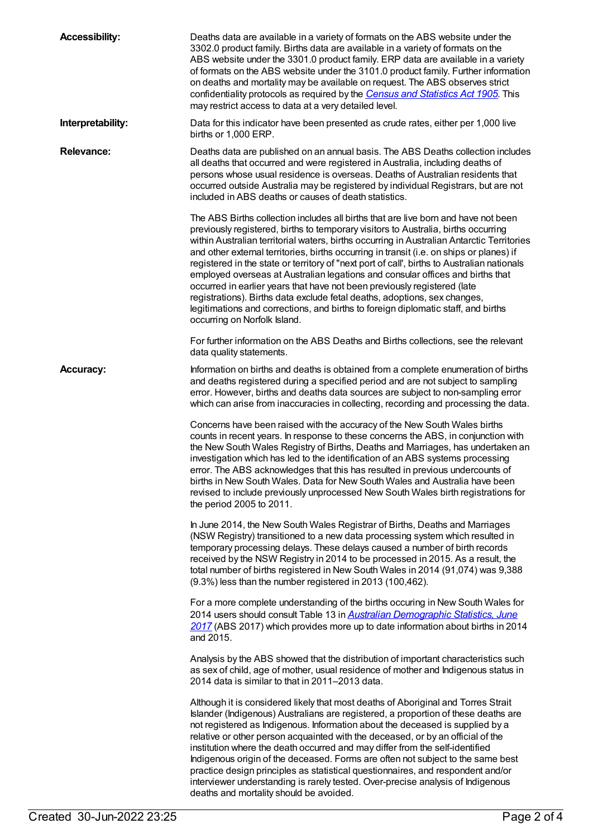| <b>Accessibility:</b> | Deaths data are available in a variety of formats on the ABS website under the<br>3302.0 product family. Births data are available in a variety of formats on the<br>ABS website under the 3301.0 product family. ERP data are available in a variety<br>of formats on the ABS website under the 3101.0 product family. Further information<br>on deaths and mortality may be available on request. The ABS observes strict<br>confidentiality protocols as required by the Census and Statistics Act 1905. This<br>may restrict access to data at a very detailed level.                                                                                                                                                                                                                                                         |
|-----------------------|-----------------------------------------------------------------------------------------------------------------------------------------------------------------------------------------------------------------------------------------------------------------------------------------------------------------------------------------------------------------------------------------------------------------------------------------------------------------------------------------------------------------------------------------------------------------------------------------------------------------------------------------------------------------------------------------------------------------------------------------------------------------------------------------------------------------------------------|
| Interpretability:     | Data for this indicator have been presented as crude rates, either per 1,000 live<br>births or 1,000 ERP.                                                                                                                                                                                                                                                                                                                                                                                                                                                                                                                                                                                                                                                                                                                         |
| <b>Relevance:</b>     | Deaths data are published on an annual basis. The ABS Deaths collection includes<br>all deaths that occurred and were registered in Australia, including deaths of<br>persons whose usual residence is overseas. Deaths of Australian residents that<br>occurred outside Australia may be registered by individual Registrars, but are not<br>included in ABS deaths or causes of death statistics.                                                                                                                                                                                                                                                                                                                                                                                                                               |
|                       | The ABS Births collection includes all births that are live born and have not been<br>previously registered, births to temporary visitors to Australia, births occurring<br>within Australian territorial waters, births occurring in Australian Antarctic Territories<br>and other external territories, births occurring in transit (i.e. on ships or planes) if<br>registered in the state or territory of "next port of call", births to Australian nationals<br>employed overseas at Australian legations and consular offices and births that<br>occurred in earlier years that have not been previously registered (late<br>registrations). Births data exclude fetal deaths, adoptions, sex changes,<br>legitimations and corrections, and births to foreign diplomatic staff, and births<br>occurring on Norfolk Island. |
|                       | For further information on the ABS Deaths and Births collections, see the relevant<br>data quality statements.                                                                                                                                                                                                                                                                                                                                                                                                                                                                                                                                                                                                                                                                                                                    |
| <b>Accuracy:</b>      | Information on births and deaths is obtained from a complete enumeration of births<br>and deaths registered during a specified period and are not subject to sampling<br>error. However, births and deaths data sources are subject to non-sampling error<br>which can arise from inaccuracies in collecting, recording and processing the data.                                                                                                                                                                                                                                                                                                                                                                                                                                                                                  |
|                       | Concerns have been raised with the accuracy of the New South Wales births<br>counts in recent years. In response to these concerns the ABS, in conjunction with<br>the New South Wales Registry of Births, Deaths and Marriages, has undertaken an<br>investigation which has led to the identification of an ABS systems processing<br>error. The ABS acknowledges that this has resulted in previous undercounts of<br>births in New South Wales. Data for New South Wales and Australia have been<br>revised to include previously unprocessed New South Wales birth registrations for<br>the period 2005 to 2011.                                                                                                                                                                                                             |
|                       | In June 2014, the New South Wales Registrar of Births, Deaths and Marriages<br>(NSW Registry) transitioned to a new data processing system which resulted in<br>temporary processing delays. These delays caused a number of birth records<br>received by the NSW Registry in 2014 to be processed in 2015. As a result, the<br>total number of births registered in New South Wales in 2014 (91,074) was 9,388<br>(9.3%) less than the number registered in 2013 (100,462).                                                                                                                                                                                                                                                                                                                                                      |
|                       | For a more complete understanding of the births occuring in New South Wales for<br>2014 users should consult Table 13 in <b>Australian Demographic Statistics</b> , June<br>2017 (ABS 2017) which provides more up to date information about births in 2014<br>and 2015.                                                                                                                                                                                                                                                                                                                                                                                                                                                                                                                                                          |
|                       | Analysis by the ABS showed that the distribution of important characteristics such<br>as sex of child, age of mother, usual residence of mother and Indigenous status in<br>2014 data is similar to that in 2011-2013 data.                                                                                                                                                                                                                                                                                                                                                                                                                                                                                                                                                                                                       |
|                       | Although it is considered likely that most deaths of Aboriginal and Torres Strait<br>Islander (Indigenous) Australians are registered, a proportion of these deaths are<br>not registered as Indigenous. Information about the deceased is supplied by a<br>relative or other person acquainted with the deceased, or by an official of the<br>institution where the death occurred and may differ from the self-identified<br>Indigenous origin of the deceased. Forms are often not subject to the same best<br>practice design principles as statistical questionnaires, and respondent and/or<br>interviewer understanding is rarely tested. Over-precise analysis of Indigenous                                                                                                                                              |

deaths and mortality should be avoided.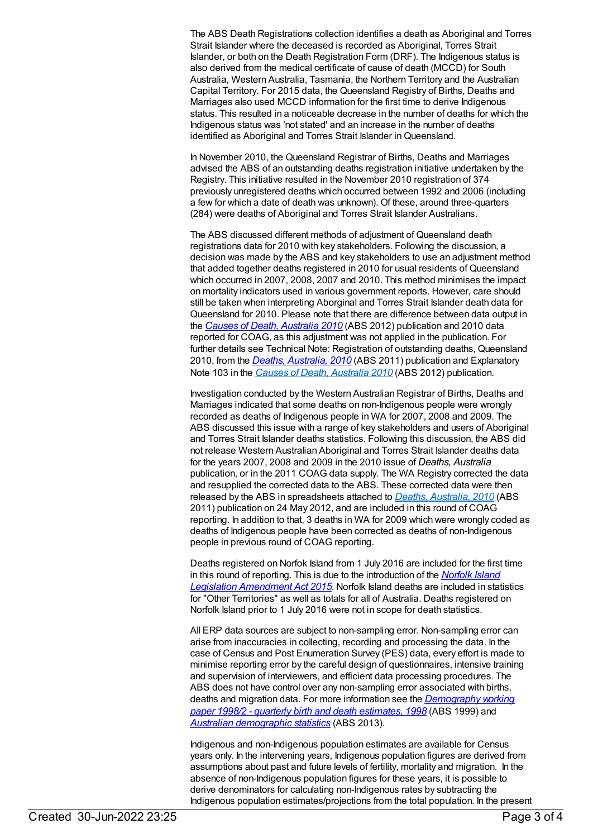The ABS Death Registrations collection identifies a death as Aboriginal and Torres Strait Islander where the deceased is recorded as Aboriginal, Torres Strait Islander, or both on the Death Registration Form (DRF). The Indigenous status is also derived from the medical certificate of cause of death (MCCD) for South Australia, Western Australia, Tasmania, the Northern Territory and the Australian Capital Territory. For 2015 data, the Queensland Registry of Births, Deaths and Marriages also used MCCD information for the first time to derive Indigenous status. This resulted in a noticeable decrease in the number of deaths for which the Indigenous status was 'not stated' and an increase in the number of deaths identified as Aboriginal and Torres Strait Islander in Queensland.

In November 2010, the Queensland Registrar of Births, Deaths and Marriages advised the ABS of an outstanding deaths registration initiative undertaken by the Registry. This initiative resulted in the November 2010 registration of 374 previously unregistered deaths which occurred between 1992 and 2006 (including a few for which a date of death was unknown). Of these, around three-quarters (284) were deaths of Aboriginal and Torres Strait Islander Australians.

The ABS discussed different methods of adjustment of Queensland death registrations data for 2010 with key stakeholders. Following the discussion, a decision was made by the ABS and key stakeholders to use an adjustment method that added together deaths registered in 2010 for usual residents of Queensland which occurred in 2007, 2008, 2007 and 2010. This method minimises the impact on mortality indicators used in various government reports. However, care should still be taken when interpreting Aborginal and Torres Strait Islander death data for Queensland for 2010. Please note that there are difference between data output in the *Causes of Death, [Australia](http://www.abs.gov.au/AUSSTATS/abs@.nsf/allprimarymainfeatures/F941C630073EA7A8CA257B2E000D80F0?opendocument) 2010* (ABS 2012) publication and 2010 data reported for COAG, as this adjustment was not applied in the publication. For further details see Technical Note: Registration of outstanding deaths, Queensland 2010, from the *Deaths, [Australia,](http://www.abs.gov.au/AUSSTATS/abs@.nsf/allprimarymainfeatures/8CE24F3B3F710F8FCA257AAF0013D433?opendocument) 2010* (ABS 2011) publication and Explanatory Note 103 in the *Causes of Death, [Australia](http://www.abs.gov.au/AUSSTATS/abs@.nsf/allprimarymainfeatures/F941C630073EA7A8CA257B2E000D80F0?opendocument) 2010* (ABS 2012) publication.

Investigation conducted by the Western Australian Registrar of Births, Deaths and Marriages indicated that some deaths on non-Indigenous people were wrongly recorded as deaths of Indigenous people in WA for 2007, 2008 and 2009. The ABS discussed this issue with a range of key stakeholders and users of Aboriginal and Torres Strait Islander deaths statistics. Following this discussion, the ABS did not release Western Australian Aboriginal and Torres Strait Islander deaths data for the years 2007, 2008 and 2009 in the 2010 issue of *Deaths, Australia* publication, or in the 2011 COAG data supply. The WA Registry corrected the data and resupplied the corrected data to the ABS. These corrected data were then released by the ABS in spreadsheets attached to *Deaths, [Australia,](http://www.abs.gov.au/AUSSTATS/abs@.nsf/allprimarymainfeatures/8CE24F3B3F710F8FCA257AAF0013D433?opendocument) 2010* (ABS 2011) publication on 24 May 2012, and are included in this round of COAG reporting. In addition to that, 3 deaths in WA for 2009 which were wrongly coded as deaths of Indigenous people have been corrected as deaths of non-Indigenous people in previous round of COAG reporting.

Deaths registered on Norfok Island from 1 July 2016 are included for the first time in this round of reporting. This is due to the introduction of the *Norfolk Island Legislation [Amendment](https://www.legislation.gov.au/Search/norfolk%20island%20legislation%20amendment%20act%202015) Act 2015*. Norfolk Island deaths are included in statistics for "Other Territories" as well as totals for all of Australia. Deaths registered on Norfolk Island prior to 1 July 2016 were not in scope for death statistics.

All ERP data sources are subject to non-sampling error. Non-sampling error can arise from inaccuracies in collecting, recording and processing the data. In the case of Census and Post Enumeration Survey (PES) data, every effort is made to minimise reporting error by the careful design of questionnaires, intensive training and supervision of interviewers, and efficient data processing procedures. The ABS does not have control over any non-sampling error associated with births, deaths and migration data. For more information see the *[Demography](http://www.abs.gov.au/AUSSTATS/abs@.nsf/ProductsbyCatalogue/B5BE54544A5DAFEFCA257061001F4540?OpenDocument) working paper 1998/2 - quarterly birth and death estimates, 1998* (ABS 1999) and *Australian [demographic](http://www.abs.gov.au/AUSSTATS/abs@.nsf/allprimarymainfeatures/7B8C452A1CDFAB9FCA257BF100136758?opendocument) statistics* (ABS 2013).

Indigenous and non-Indigenous population estimates are available for Census years only. In the intervening years, Indigenous population figures are derived from assumptions about past and future levels of fertility, mortality and migration. In the absence of non-Indigenous population figures for these years, it is possible to derive denominators for calculating non-Indigenous rates by subtracting the Indigenous population estimates/projections from the total population. In the present